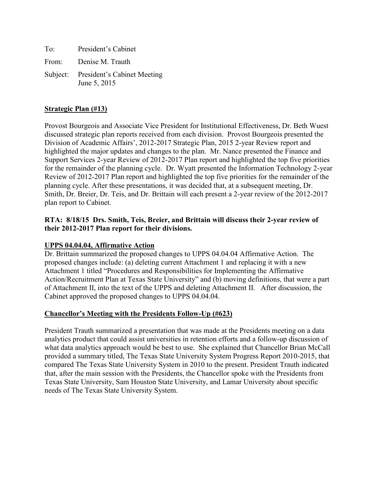To: President's Cabinet From: Denise M. Trauth Subject: President's Cabinet Meeting June 5, 2015

## **Strategic Plan (#13)**

Provost Bourgeois and Associate Vice President for Institutional Effectiveness, Dr. Beth Wuest discussed strategic plan reports received from each division. Provost Bourgeois presented the Division of Academic Affairs', 2012-2017 Strategic Plan, 2015 2-year Review report and highlighted the major updates and changes to the plan. Mr. Nance presented the Finance and Support Services 2-year Review of 2012-2017 Plan report and highlighted the top five priorities for the remainder of the planning cycle. Dr. Wyatt presented the Information Technology 2-year Review of 2012-2017 Plan report and highlighted the top five priorities for the remainder of the planning cycle. After these presentations, it was decided that, at a subsequent meeting, Dr. Smith, Dr. Breier, Dr. Teis, and Dr. Brittain will each present a 2-year review of the 2012-2017 plan report to Cabinet.

## **RTA: 8/18/15 Drs. Smith, Teis, Breier, and Brittain will discuss their 2-year review of their 2012-2017 Plan report for their divisions.**

## **UPPS 04.04.04, Affirmative Action**

Dr. Brittain summarized the proposed changes to UPPS 04.04.04 Affirmative Action. The proposed changes include: (a) deleting current Attachment 1 and replacing it with a new Attachment 1 titled "Procedures and Responsibilities for Implementing the Affirmative Action/Recruitment Plan at Texas State University" and (b) moving definitions, that were a part of Attachment II, into the text of the UPPS and deleting Attachment II. After discussion, the Cabinet approved the proposed changes to UPPS 04.04.04.

## **Chancellor's Meeting with the Presidents Follow-Up (#623)**

President Trauth summarized a presentation that was made at the Presidents meeting on a data analytics product that could assist universities in retention efforts and a follow-up discussion of what data analytics approach would be best to use. She explained that Chancellor Brian McCall provided a summary titled, The Texas State University System Progress Report 2010-2015, that compared The Texas State University System in 2010 to the present. President Trauth indicated that, after the main session with the Presidents, the Chancellor spoke with the Presidents from Texas State University, Sam Houston State University, and Lamar University about specific needs of The Texas State University System.